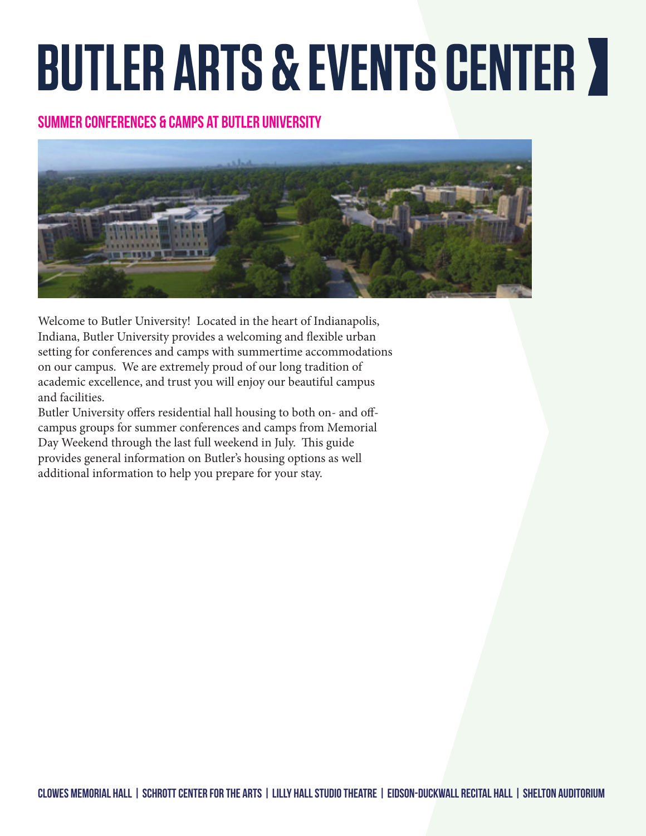### Summer Conferences & Camps at Butler University



Welcome to Butler University! Located in the heart of Indianapolis, Indiana, Butler University provides a welcoming and flexible urban setting for conferences and camps with summertime accommodations on our campus. We are extremely proud of our long tradition of academic excellence, and trust you will enjoy our beautiful campus and facilities.

Butler University offers residential hall housing to both on- and offcampus groups for summer conferences and camps from Memorial Day Weekend through the last full weekend in July. This guide provides general information on Butler's housing options as well additional information to help you prepare for your stay.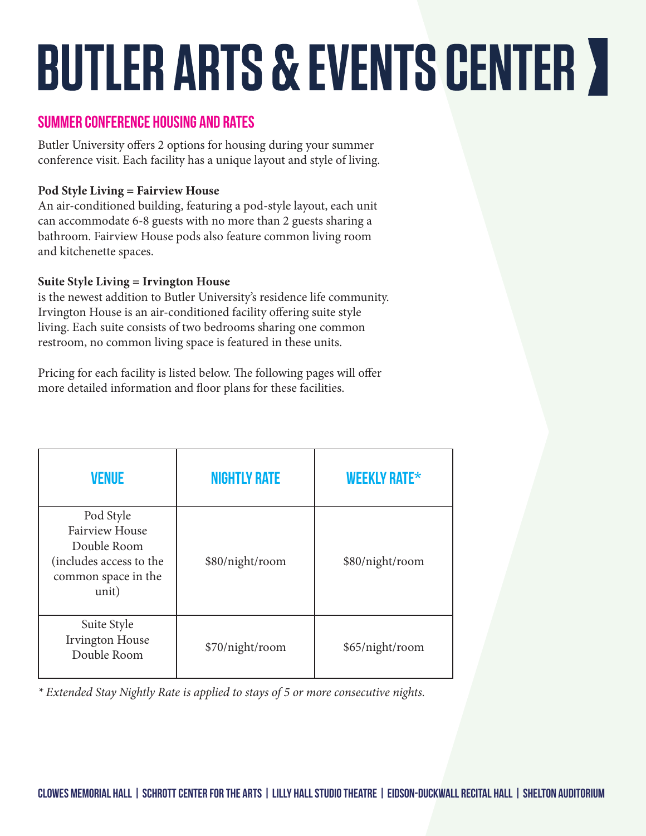### Summer Conference Housing and Rates

Butler University offers 2 options for housing during your summer conference visit. Each facility has a unique layout and style of living.

#### **Pod Style Living = Fairview House**

An air-conditioned building, featuring a pod-style layout, each unit can accommodate 6-8 guests with no more than 2 guests sharing a bathroom. Fairview House pods also feature common living room and kitchenette spaces.

#### **Suite Style Living = Irvington House**

is the newest addition to Butler University's residence life community. Irvington House is an air-conditioned facility offering suite style living. Each suite consists of two bedrooms sharing one common restroom, no common living space is featured in these units.

Pricing for each facility is listed below. The following pages will offer more detailed information and floor plans for these facilities.

| <b>VENUE</b>                                                                                                 | <b>NIGHTLY RATE</b> | <b>WEEKLY RATE*</b> |
|--------------------------------------------------------------------------------------------------------------|---------------------|---------------------|
| Pod Style<br><b>Fairview House</b><br>Double Room<br>(includes access to the<br>common space in the<br>unit) | \$80/night/room     | \$80/night/room     |
| Suite Style<br><b>Irvington House</b><br>Double Room                                                         | \$70/night/room     | \$65/night/room     |

*\* Extended Stay Nightly Rate is applied to stays of 5 or more consecutive nights.*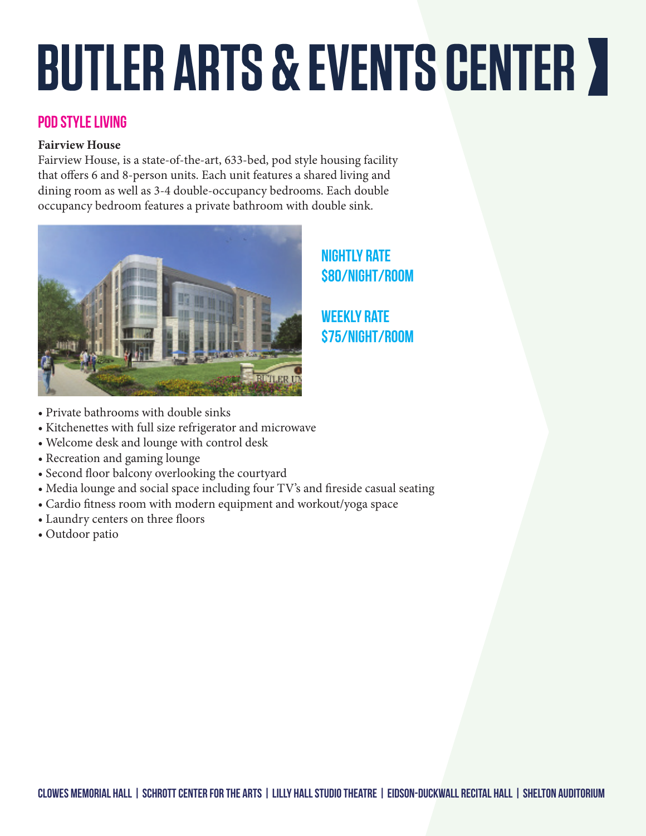### Pod Style Living

#### **Fairview House**

Fairview House, is a state-of-the-art, 633-bed, pod style housing facility that offers 6 and 8-person units. Each unit features a shared living and dining room as well as 3-4 double-occupancy bedrooms. Each double occupancy bedroom features a private bathroom with double sink.



### Nightly Rate \$80/night/room

Weekly Rate \$75/night/room

- Private bathrooms with double sinks
- Kitchenettes with full size refrigerator and microwave
- Welcome desk and lounge with control desk
- Recreation and gaming lounge
- Second floor balcony overlooking the courtyard
- Media lounge and social space including four TV's and fireside casual seating
- Cardio fitness room with modern equipment and workout/yoga space
- Laundry centers on three floors
- Outdoor patio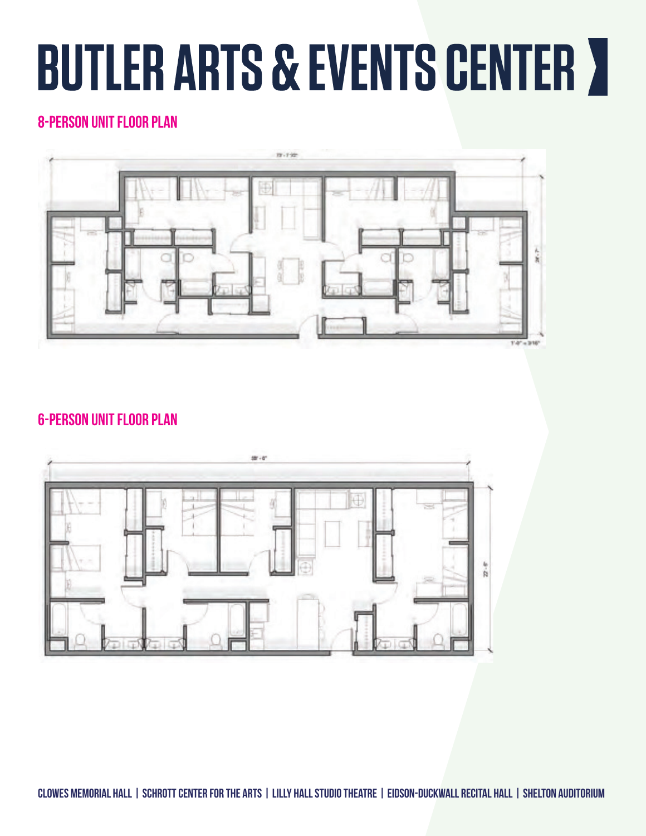### 8-person unit floor plan



### 6-person unit floor plan

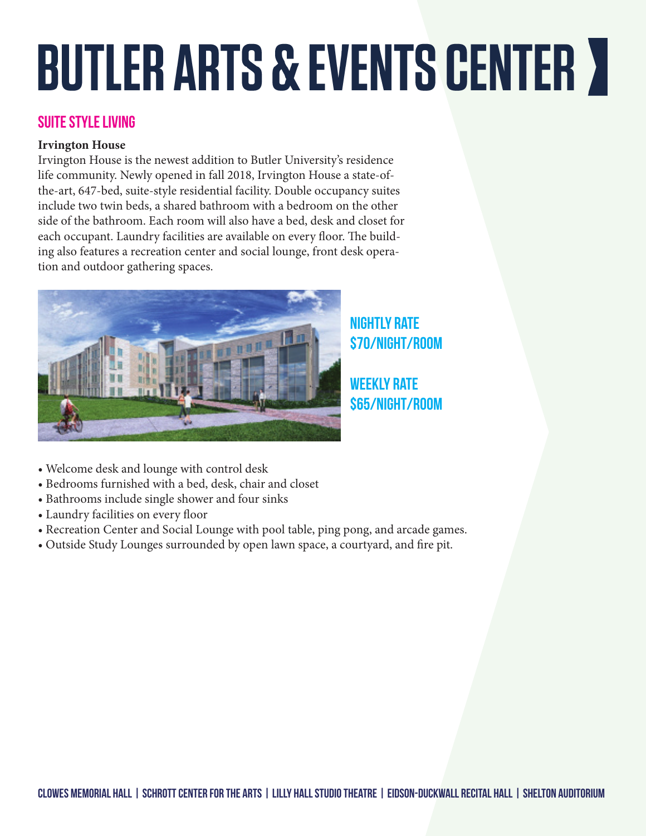### SUITE STYLE LIVING

#### **Irvington House**

Irvington House is the newest addition to Butler University's residence life community. Newly opened in fall 2018, Irvington House a state-ofthe-art, 647-bed, suite-style residential facility. Double occupancy suites include two twin beds, a shared bathroom with a bedroom on the other side of the bathroom. Each room will also have a bed, desk and closet for each occupant. Laundry facilities are available on every floor. The building also features a recreation center and social lounge, front desk operation and outdoor gathering spaces.



### Nightly Rate \$70/night/room

Weekly Rate \$65/night/room

- Welcome desk and lounge with control desk
- Bedrooms furnished with a bed, desk, chair and closet
- Bathrooms include single shower and four sinks
- Laundry facilities on every floor
- Recreation Center and Social Lounge with pool table, ping pong, and arcade games.
- Outside Study Lounges surrounded by open lawn space, a courtyard, and fire pit.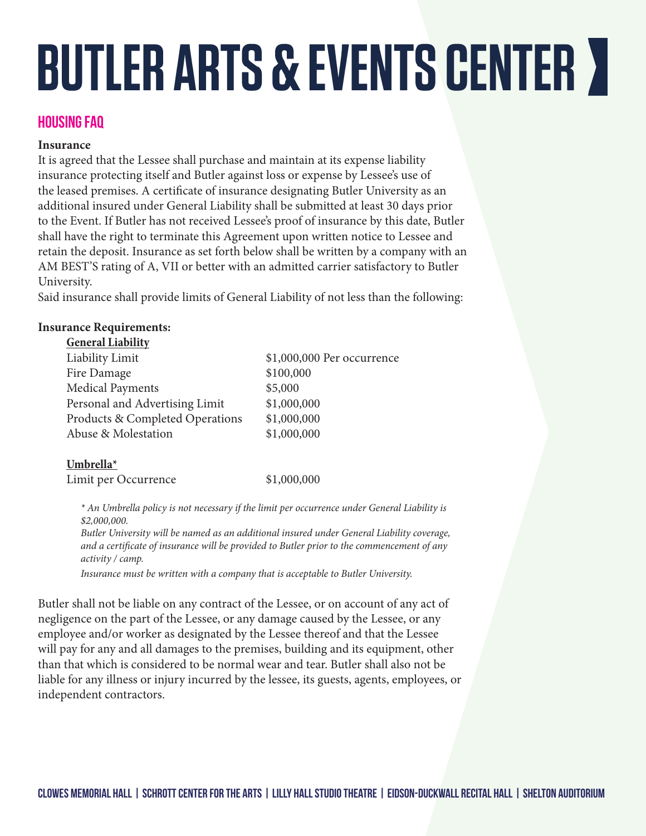### Housing FAQ

#### **Insurance**

It is agreed that the Lessee shall purchase and maintain at its expense liability insurance protecting itself and Butler against loss or expense by Lessee's use of the leased premises. A certificate of insurance designating Butler University as an additional insured under General Liability shall be submitted at least 30 days prior to the Event. If Butler has not received Lessee's proof of insurance by this date, Butler shall have the right to terminate this Agreement upon written notice to Lessee and retain the deposit. Insurance as set forth below shall be written by a company with an AM BEST'S rating of A, VII or better with an admitted carrier satisfactory to Butler University.

Said insurance shall provide limits of General Liability of not less than the following:

#### **Insurance Requirements:**

| <b>General Liability</b>        |                            |
|---------------------------------|----------------------------|
| Liability Limit                 | \$1,000,000 Per occurrence |
| Fire Damage                     | \$100,000                  |
| <b>Medical Payments</b>         | \$5,000                    |
| Personal and Advertising Limit  | \$1,000,000                |
| Products & Completed Operations | \$1,000,000                |
| Abuse & Molestation             | \$1,000,000                |
|                                 |                            |

#### **Umbrella\***

| Limit per Occurrence | \$1,000,000 |
|----------------------|-------------|
|                      |             |

*\* An Umbrella policy is not necessary if the limit per occurrence under General Liability is \$2,000,000.*

*Butler University will be named as an additional insured under General Liability coverage, and a certificate of insurance will be provided to Butler prior to the commencement of any activity / camp.*

*Insurance must be written with a company that is acceptable to Butler University.*

Butler shall not be liable on any contract of the Lessee, or on account of any act of negligence on the part of the Lessee, or any damage caused by the Lessee, or any employee and/or worker as designated by the Lessee thereof and that the Lessee will pay for any and all damages to the premises, building and its equipment, other than that which is considered to be normal wear and tear. Butler shall also not be liable for any illness or injury incurred by the lessee, its guests, agents, employees, or independent contractors.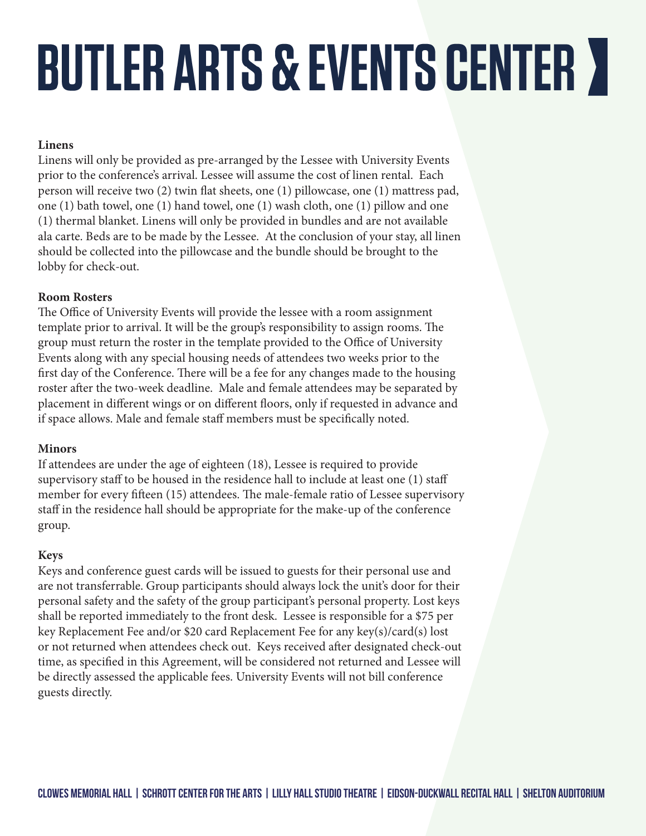#### **Linens**

Linens will only be provided as pre-arranged by the Lessee with University Events prior to the conference's arrival. Lessee will assume the cost of linen rental. Each person will receive two (2) twin flat sheets, one (1) pillowcase, one (1) mattress pad, one (1) bath towel, one (1) hand towel, one (1) wash cloth, one (1) pillow and one (1) thermal blanket. Linens will only be provided in bundles and are not available ala carte. Beds are to be made by the Lessee. At the conclusion of your stay, all linen should be collected into the pillowcase and the bundle should be brought to the lobby for check-out.

#### **Room Rosters**

The Office of University Events will provide the lessee with a room assignment template prior to arrival. It will be the group's responsibility to assign rooms. The group must return the roster in the template provided to the Office of University Events along with any special housing needs of attendees two weeks prior to the first day of the Conference. There will be a fee for any changes made to the housing roster after the two-week deadline. Male and female attendees may be separated by placement in different wings or on different floors, only if requested in advance and if space allows. Male and female staff members must be specifically noted.

#### **Minors**

If attendees are under the age of eighteen (18), Lessee is required to provide supervisory staff to be housed in the residence hall to include at least one (1) staff member for every fifteen (15) attendees. The male-female ratio of Lessee supervisory staff in the residence hall should be appropriate for the make-up of the conference group.

#### **Keys**

Keys and conference guest cards will be issued to guests for their personal use and are not transferrable. Group participants should always lock the unit's door for their personal safety and the safety of the group participant's personal property. Lost keys shall be reported immediately to the front desk. Lessee is responsible for a \$75 per key Replacement Fee and/or \$20 card Replacement Fee for any key(s)/card(s) lost or not returned when attendees check out. Keys received after designated check-out time, as specified in this Agreement, will be considered not returned and Lessee will be directly assessed the applicable fees. University Events will not bill conference guests directly.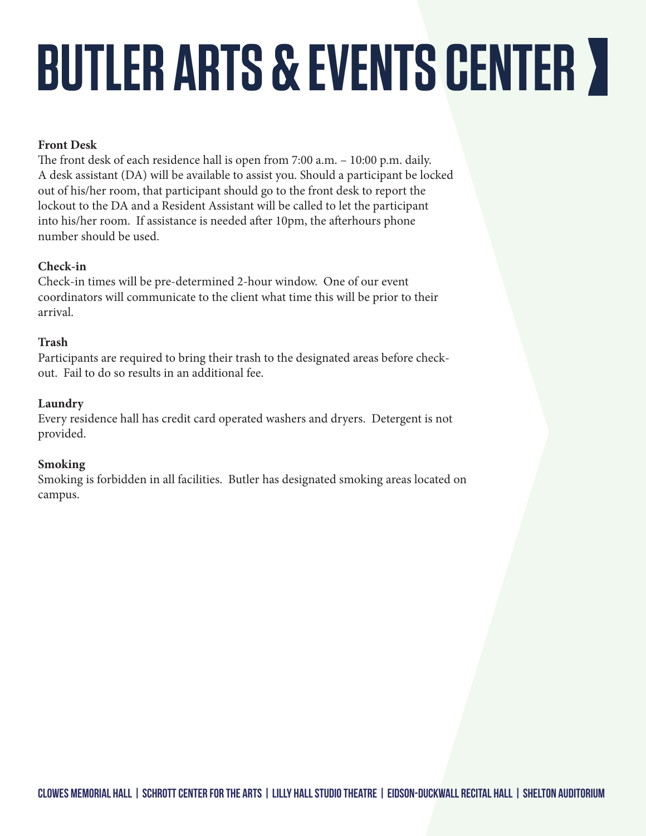#### **Front Desk**

The front desk of each residence hall is open from 7:00 a.m. – 10:00 p.m. daily. A desk assistant (DA) will be available to assist you. Should a participant be locked out of his/her room, that participant should go to the front desk to report the lockout to the DA and a Resident Assistant will be called to let the participant into his/her room. If assistance is needed after 10pm, the afterhours phone number should be used.

#### **Check-in**

Check-in times will be pre-determined 2-hour window. One of our event coordinators will communicate to the client what time this will be prior to their arrival.

#### **Trash**

Participants are required to bring their trash to the designated areas before checkout. Fail to do so results in an additional fee.

#### **Laundry**

Every residence hall has credit card operated washers and dryers. Detergent is not provided.

#### **Smoking**

Smoking is forbidden in all facilities. Butler has designated smoking areas located on campus.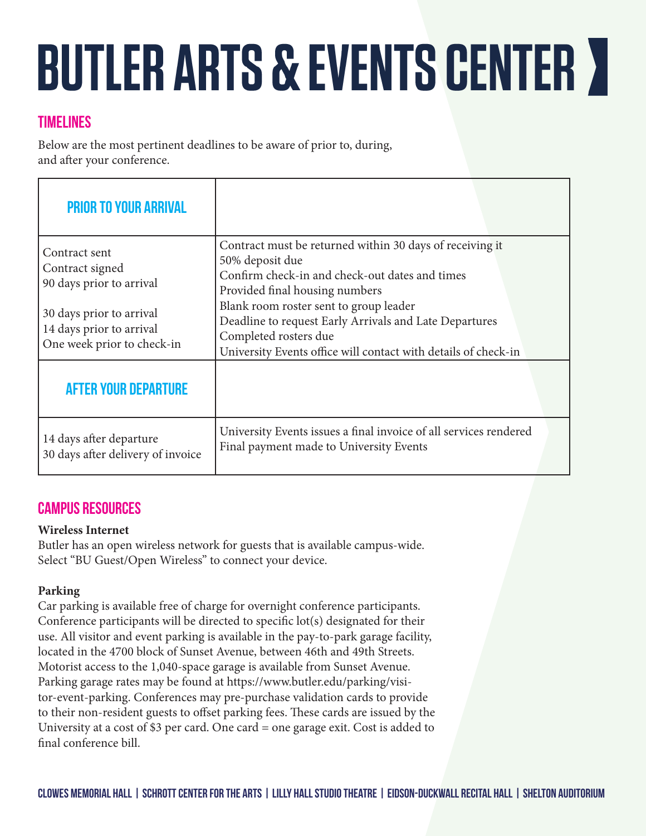### **TIMELINES**

Below are the most pertinent deadlines to be aware of prior to, during, and after your conference.

| <b>PRIOR TO YOUR ARRIVAL</b>                                                       |                                                                                                                                                                                             |  |
|------------------------------------------------------------------------------------|---------------------------------------------------------------------------------------------------------------------------------------------------------------------------------------------|--|
| Contract sent<br>Contract signed<br>90 days prior to arrival                       | Contract must be returned within 30 days of receiving it<br>50% deposit due<br>Confirm check-in and check-out dates and times<br>Provided final housing numbers                             |  |
| 30 days prior to arrival<br>14 days prior to arrival<br>One week prior to check-in | Blank room roster sent to group leader<br>Deadline to request Early Arrivals and Late Departures<br>Completed rosters due<br>University Events office will contact with details of check-in |  |
| <b>AFTER YOUR DEPARTURE</b>                                                        |                                                                                                                                                                                             |  |
| 14 days after departure<br>30 days after delivery of invoice                       | University Events issues a final invoice of all services rendered<br>Final payment made to University Events                                                                                |  |

### Campus Resources

#### **Wireless Internet**

Butler has an open wireless network for guests that is available campus-wide. Select "BU Guest/Open Wireless" to connect your device.

#### **Parking**

Car parking is available free of charge for overnight conference participants. Conference participants will be directed to specific lot(s) designated for their use. All visitor and event parking is available in the pay-to-park garage facility, located in the 4700 block of Sunset Avenue, between 46th and 49th Streets. Motorist access to the 1,040-space garage is available from Sunset Avenue. Parking garage rates may be found at https://www.butler.edu/parking/visitor-event-parking. Conferences may pre-purchase validation cards to provide to their non-resident guests to offset parking fees. These cards are issued by the University at a cost of \$3 per card. One card = one garage exit. Cost is added to final conference bill.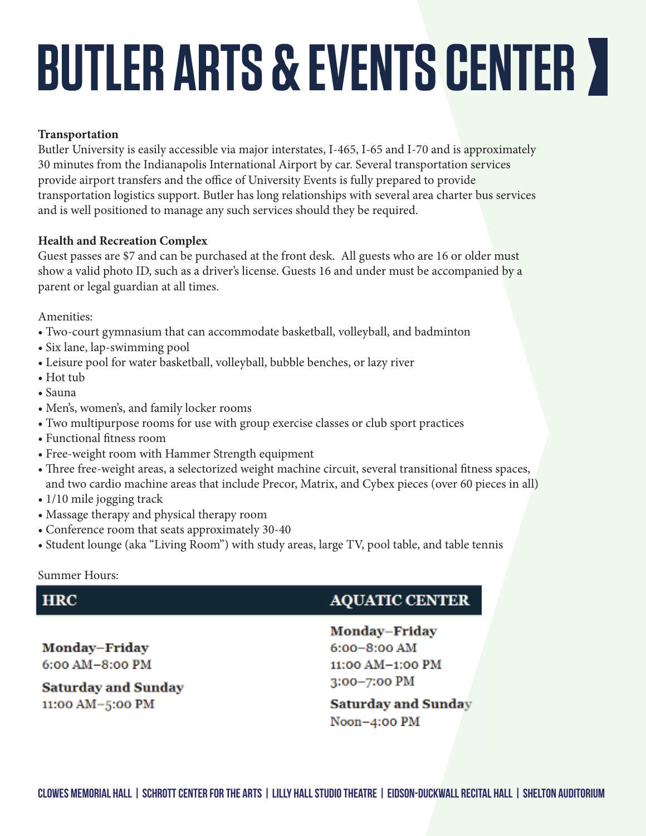#### **Transportation**

Butler University is easily accessible via major interstates, I-465, I-65 and I-70 and is approximately 30 minutes from the Indianapolis International Airport by car. Several transportation services provide airport transfers and the office of University Events is fully prepared to provide transportation logistics support. Butler has long relationships with several area charter bus services and is well positioned to manage any such services should they be required.

#### **Health and Recreation Complex**

Guest passes are \$7 and can be purchased at the front desk. All guests who are 16 or older must show a valid photo ID, such as a driver's license. Guests 16 and under must be accompanied by a parent or legal guardian at all times.

Amenities:

- Two-court gymnasium that can accommodate basketball, volleyball, and badminton
- Six lane, lap-swimming pool
- Leisure pool for water basketball, volleyball, bubble benches, or lazy river
- Hot tub
- Sauna
- Men's, women's, and family locker rooms
- Two multipurpose rooms for use with group exercise classes or club sport practices
- Functional fitness room
- Free-weight room with Hammer Strength equipment
- Three free-weight areas, a selectorized weight machine circuit, several transitional fitness spaces, and two cardio machine areas that include Precor, Matrix, and Cybex pieces (over 60 pieces in all)
- 1/10 mile jogging track
- Massage therapy and physical therapy room
- Conference room that seats approximately 30-40
- Student lounge (aka "Living Room") with study areas, large TV, pool table, and table tennis

#### Summer Hours:

### **HRC**

**Monday-Friday** 6:00 AM-8:00 PM

**Saturday and Sunday** 11:00 AM-5:00 PM

#### **AQUATIC CENTER**

**Monday-Friday** 6:00-8:00 AM 11:00 AM-1:00 PM 3:00-7:00 PM

**Saturday and Sunday** Noon-4:00 PM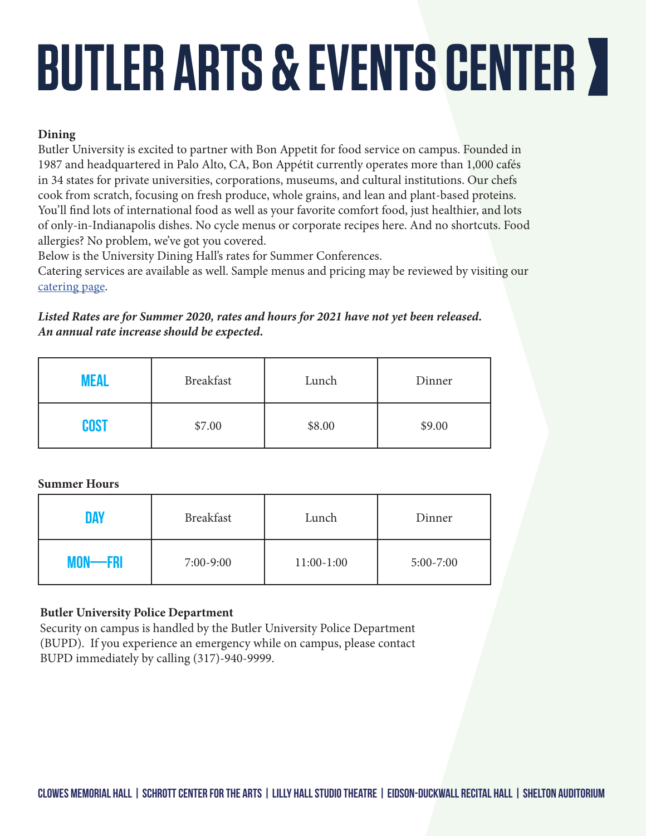#### **Dining**

Butler University is excited to partner with Bon Appetit for food service on campus. Founded in 1987 and headquartered in Palo Alto, CA, Bon Appétit currently operates more than 1,000 cafés in 34 states for private universities, corporations, museums, and cultural institutions. Our chefs cook from scratch, focusing on fresh produce, whole grains, and lean and plant-based proteins. You'll find lots of international food as well as your favorite comfort food, just healthier, and lots of only-in-Indianapolis dishes. No cycle menus or corporate recipes here. And no shortcuts. Food allergies? No problem, we've got you covered.

Below is the University Dining Hall's rates for Summer Conferences.

Catering services are available as well. Sample menus and pricing may be reviewed by visiting our catering page.

*Listed Rates are for Summer 2020, rates and hours for 2021 have not yet been released. An annual rate increase should be expected.*

| <b>MEAL</b> | <b>Breakfast</b> | Lunch  | Dinner |
|-------------|------------------|--------|--------|
| COST        | \$7.00           | \$8.00 | \$9.00 |

#### **Summer Hours**

| <b>DAY</b>   | <b>Breakfast</b> | Lunch      | Dinner        |
|--------------|------------------|------------|---------------|
| MON-<br>-FRI | $7:00-9:00$      | 11:00-1:00 | $5:00 - 7:00$ |

#### **Butler University Police Department**

Security on campus is handled by the Butler University Police Department (BUPD). If you experience an emergency while on campus, please contact BUPD immediately by calling (317)-940-9999.